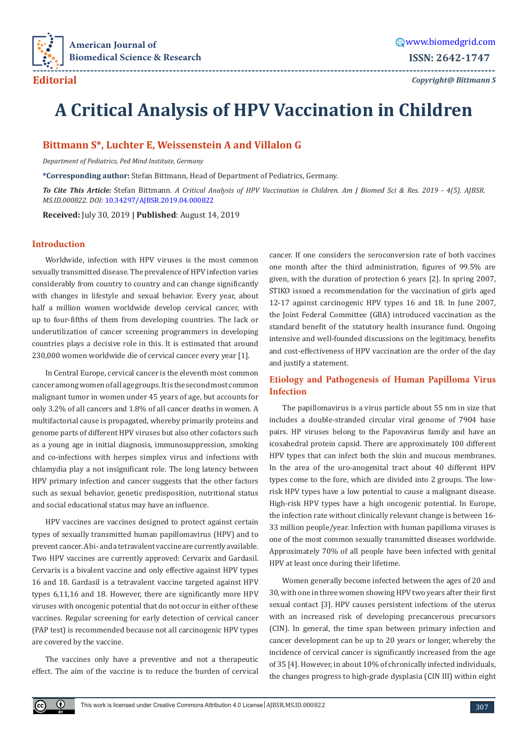

**Editorial**

*Copyright@ Bittmann S*

# **A Critical Analysis of HPV Vaccination in Children**

**---------------------------------------------------------------------------------------------------------------------------------**

# **Bittmann S\*, Luchter E, Weissenstein A and Villalon G**

*Department of Pediatrics, Ped Mind Institute, Germany*

**\*Corresponding author:** Stefan Bittmann, Head of Department of Pediatrics, Germany.

*To Cite This Article:* Stefan Bittmann*. A Critical Analysis of HPV Vaccination in Children. Am J Biomed Sci & Res. 2019 - 4(5). AJBSR. MS.ID.000822. DOI:* [10.34297/AJBSR.2019.04.000822](http://dx.doi.org/10.34297/AJBSR.2019.04.000822)

**Received:** July 30, 2019 **| Published**: August 14, 2019

# **Introduction**

Worldwide, infection with HPV viruses is the most common sexually transmitted disease. The prevalence of HPV infection varies considerably from country to country and can change significantly with changes in lifestyle and sexual behavior. Every year, about half a million women worldwide develop cervical cancer, with up to four-fifths of them from developing countries. The lack or underutilization of cancer screening programmers in developing countries plays a decisive role in this. It is estimated that around 230,000 women worldwide die of cervical cancer every year [1].

In Central Europe, cervical cancer is the eleventh most common cancer among women of all age groups. It is the second most common malignant tumor in women under 45 years of age, but accounts for only 3.2% of all cancers and 1.8% of all cancer deaths in women. A multifactorial cause is propagated, whereby primarily proteins and genome parts of different HPV viruses but also other cofactors such as a young age in initial diagnosis, immunosuppression, smoking and co-infections with herpes simplex virus and infections with chlamydia play a not insignificant role. The long latency between HPV primary infection and cancer suggests that the other factors such as sexual behavior, genetic predisposition, nutritional status and social educational status may have an influence.

HPV vaccines are vaccines designed to protect against certain types of sexually transmitted human papillomavirus (HPV) and to prevent cancer. A bi- and a tetravalent vaccine are currently available. Two HPV vaccines are currently approved: Cervarix and Gardasil. Cervarix is a bivalent vaccine and only effective against HPV types 16 and 18. Gardasil is a tetravalent vaccine targeted against HPV types 6,11,16 and 18. However, there are significantly more HPV viruses with oncogenic potential that do not occur in either of these vaccines. Regular screening for early detection of cervical cancer (PAP test) is recommended because not all carcinogenic HPV types are covered by the vaccine.

The vaccines only have a preventive and not a therapeutic effect. The aim of the vaccine is to reduce the burden of cervical

 $\odot$ 

cancer. If one considers the seroconversion rate of both vaccines one month after the third administration, figures of 99.5% are given, with the duration of protection 6 years [2]. In spring 2007, STIKO issued a recommendation for the vaccination of girls aged 12-17 against carcinogenic HPV types 16 and 18. In June 2007, the Joint Federal Committee (GBA) introduced vaccination as the standard benefit of the statutory health insurance fund. Ongoing intensive and well-founded discussions on the legitimacy, benefits and cost-effectiveness of HPV vaccination are the order of the day and justify a statement.

# **Etiology and Pathogenesis of Human Papilloma Virus Infection**

The papillomavirus is a virus particle about 55 nm in size that includes a double-stranded circular viral genome of 7904 base pairs. HP viruses belong to the Papovavirus family and have an icosahedral protein capsid. There are approximately 100 different HPV types that can infect both the skin and mucous membranes. In the area of the uro-anogenital tract about 40 different HPV types come to the fore, which are divided into 2 groups. The lowrisk HPV types have a low potential to cause a malignant disease. High-risk HPV types have a high oncogenic potential. In Europe, the infection rate without clinically relevant change is between 16- 33 million people/year. Infection with human papilloma viruses is one of the most common sexually transmitted diseases worldwide. Approximately 70% of all people have been infected with genital HPV at least once during their lifetime.

Women generally become infected between the ages of 20 and 30, with one in three women showing HPV two years after their first sexual contact [3]. HPV causes persistent infections of the uterus with an increased risk of developing precancerous precursors (CIN). In general, the time span between primary infection and cancer development can be up to 20 years or longer, whereby the incidence of cervical cancer is significantly increased from the age of 35 [4]. However, in about 10% of chronically infected individuals, the changes progress to high-grade dysplasia (CIN III) within eight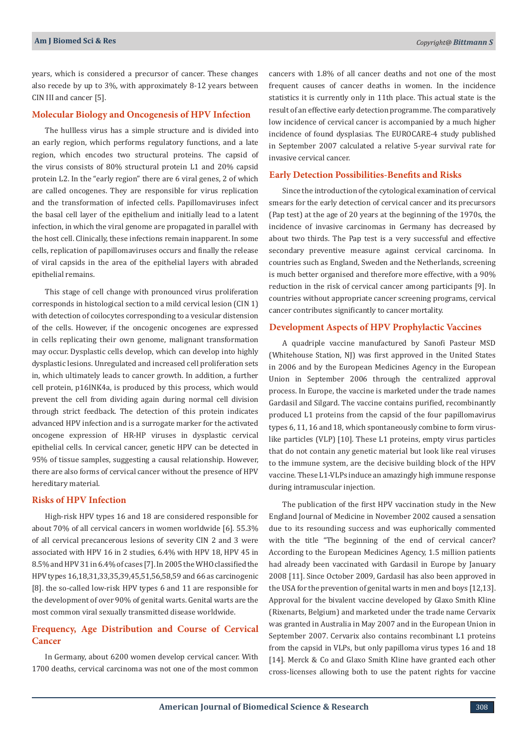years, which is considered a precursor of cancer. These changes also recede by up to 3%, with approximately 8-12 years between CIN III and cancer [5].

## **Molecular Biology and Oncogenesis of HPV Infection**

The hullless virus has a simple structure and is divided into an early region, which performs regulatory functions, and a late region, which encodes two structural proteins. The capsid of the virus consists of 80% structural protein L1 and 20% capsid protein L2. In the "early region" there are 6 viral genes, 2 of which are called oncogenes. They are responsible for virus replication and the transformation of infected cells. Papillomaviruses infect the basal cell layer of the epithelium and initially lead to a latent infection, in which the viral genome are propagated in parallel with the host cell. Clinically, these infections remain inapparent. In some cells, replication of papillomaviruses occurs and finally the release of viral capsids in the area of the epithelial layers with abraded epithelial remains.

This stage of cell change with pronounced virus proliferation corresponds in histological section to a mild cervical lesion (CIN 1) with detection of coilocytes corresponding to a vesicular distension of the cells. However, if the oncogenic oncogenes are expressed in cells replicating their own genome, malignant transformation may occur. Dysplastic cells develop, which can develop into highly dysplastic lesions. Unregulated and increased cell proliferation sets in, which ultimately leads to cancer growth. In addition, a further cell protein, p16INK4a, is produced by this process, which would prevent the cell from dividing again during normal cell division through strict feedback. The detection of this protein indicates advanced HPV infection and is a surrogate marker for the activated oncogene expression of HR-HP viruses in dysplastic cervical epithelial cells. In cervical cancer, genetic HPV can be detected in 95% of tissue samples, suggesting a causal relationship. However, there are also forms of cervical cancer without the presence of HPV hereditary material.

# **Risks of HPV Infection**

High-risk HPV types 16 and 18 are considered responsible for about 70% of all cervical cancers in women worldwide [6]. 55.3% of all cervical precancerous lesions of severity CIN 2 and 3 were associated with HPV 16 in 2 studies, 6.4% with HPV 18, HPV 45 in 8.5% and HPV 31 in 6.4% of cases [7]. In 2005 the WHO classified the HPV types 16,18,31,33,35,39,45,51,56,58,59 and 66 as carcinogenic [8]. the so-called low-risk HPV types 6 and 11 are responsible for the development of over 90% of genital warts. Genital warts are the most common viral sexually transmitted disease worldwide.

# **Frequency, Age Distribution and Course of Cervical Cancer**

In Germany, about 6200 women develop cervical cancer. With 1700 deaths, cervical carcinoma was not one of the most common

cancers with 1.8% of all cancer deaths and not one of the most frequent causes of cancer deaths in women. In the incidence statistics it is currently only in 11th place. This actual state is the result of an effective early detection programme. The comparatively low incidence of cervical cancer is accompanied by a much higher incidence of found dysplasias. The EUROCARE-4 study published in September 2007 calculated a relative 5-year survival rate for invasive cervical cancer.

# **Early Detection Possibilities-Benefits and Risks**

Since the introduction of the cytological examination of cervical smears for the early detection of cervical cancer and its precursors (Pap test) at the age of 20 years at the beginning of the 1970s, the incidence of invasive carcinomas in Germany has decreased by about two thirds. The Pap test is a very successful and effective secondary preventive measure against cervical carcinoma. In countries such as England, Sweden and the Netherlands, screening is much better organised and therefore more effective, with a 90% reduction in the risk of cervical cancer among participants [9]. In countries without appropriate cancer screening programs, cervical cancer contributes significantly to cancer mortality.

# **Development Aspects of HPV Prophylactic Vaccines**

A quadriple vaccine manufactured by Sanofi Pasteur MSD (Whitehouse Station, NJ) was first approved in the United States in 2006 and by the European Medicines Agency in the European Union in September 2006 through the centralized approval process. In Europe, the vaccine is marketed under the trade names Gardasil and Silgard. The vaccine contains purified, recombinantly produced L1 proteins from the capsid of the four papillomavirus types 6, 11, 16 and 18, which spontaneously combine to form viruslike particles (VLP) [10]. These L1 proteins, empty virus particles that do not contain any genetic material but look like real viruses to the immune system, are the decisive building block of the HPV vaccine. These L1-VLPs induce an amazingly high immune response during intramuscular injection.

The publication of the first HPV vaccination study in the New England Journal of Medicine in November 2002 caused a sensation due to its resounding success and was euphorically commented with the title "The beginning of the end of cervical cancer? According to the European Medicines Agency, 1.5 million patients had already been vaccinated with Gardasil in Europe by January 2008 [11]. Since October 2009, Gardasil has also been approved in the USA for the prevention of genital warts in men and boys [12,13]. Approval for the bivalent vaccine developed by Glaxo Smith Kline (Rixenarts, Belgium) and marketed under the trade name Cervarix was granted in Australia in May 2007 and in the European Union in September 2007. Cervarix also contains recombinant L1 proteins from the capsid in VLPs, but only papilloma virus types 16 and 18 [14]. Merck & Co and Glaxo Smith Kline have granted each other cross-licenses allowing both to use the patent rights for vaccine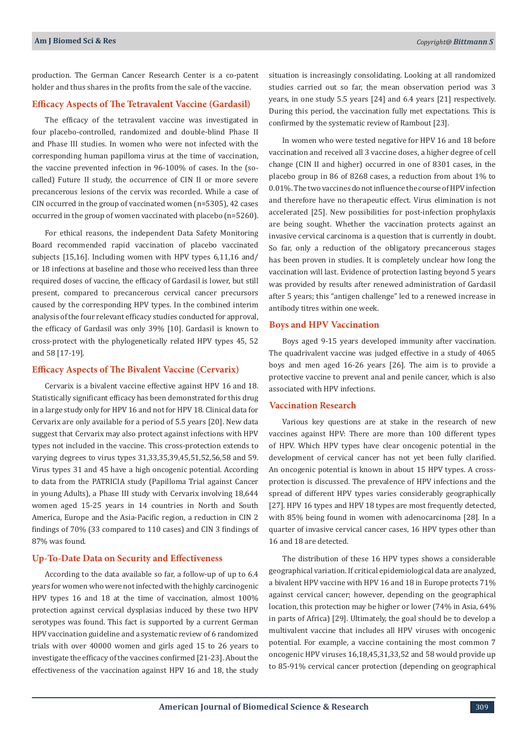production. The German Cancer Research Center is a co-patent holder and thus shares in the profits from the sale of the vaccine.

## **Efficacy Aspects of The Tetravalent Vaccine (Gardasil)**

The efficacy of the tetravalent vaccine was investigated in four placebo-controlled, randomized and double-blind Phase II and Phase III studies. In women who were not infected with the corresponding human papilloma virus at the time of vaccination, the vaccine prevented infection in 96-100% of cases. In the (socalled) Future II study, the occurrence of CIN II or more severe precancerous lesions of the cervix was recorded. While a case of CIN occurred in the group of vaccinated women (n=5305), 42 cases occurred in the group of women vaccinated with placebo (n=5260).

For ethical reasons, the independent Data Safety Monitoring Board recommended rapid vaccination of placebo vaccinated subjects [15,16]. Including women with HPV types 6,11,16 and/ or 18 infections at baseline and those who received less than three required doses of vaccine, the efficacy of Gardasil is lower, but still present, compared to precancerous cervical cancer precursors caused by the corresponding HPV types. In the combined interim analysis of the four relevant efficacy studies conducted for approval, the efficacy of Gardasil was only 39% [10]. Gardasil is known to cross-protect with the phylogenetically related HPV types 45, 52 and 58 [17-19].

#### **Efficacy Aspects of The Bivalent Vaccine (Cervarix)**

Cervarix is a bivalent vaccine effective against HPV 16 and 18. Statistically significant efficacy has been demonstrated for this drug in a large study only for HPV 16 and not for HPV 18. Clinical data for Cervarix are only available for a period of 5.5 years [20]. New data suggest that Cervarix may also protect against infections with HPV types not included in the vaccine. This cross-protection extends to varying degrees to virus types 31,33,35,39,45,51,52,56,58 and 59. Virus types 31 and 45 have a high oncogenic potential. According to data from the PATRICIA study (Papilloma Trial against Cancer in young Adults), a Phase III study with Cervarix involving 18,644 women aged 15-25 years in 14 countries in North and South America, Europe and the Asia-Pacific region, a reduction in CIN 2 findings of 70% (33 compared to 110 cases) and CIN 3 findings of 87% was found.

# **Up-To-Date Data on Security and Effectiveness**

According to the data available so far, a follow-up of up to 6.4 years for women who were not infected with the highly carcinogenic HPV types 16 and 18 at the time of vaccination, almost 100% protection against cervical dysplasias induced by these two HPV serotypes was found. This fact is supported by a current German HPV vaccination guideline and a systematic review of 6 randomized trials with over 40000 women and girls aged 15 to 26 years to investigate the efficacy of the vaccines confirmed [21-23]. About the effectiveness of the vaccination against HPV 16 and 18, the study

situation is increasingly consolidating. Looking at all randomized studies carried out so far, the mean observation period was 3 years, in one study 5.5 years [24] and 6.4 years [21] respectively. During this period, the vaccination fully met expectations. This is confirmed by the systematic review of Rambout [23].

In women who were tested negative for HPV 16 and 18 before vaccination and received all 3 vaccine doses, a higher degree of cell change (CIN II and higher) occurred in one of 8301 cases, in the placebo group in 86 of 8268 cases, a reduction from about 1% to 0.01%. The two vaccines do not influence the course of HPV infection and therefore have no therapeutic effect. Virus elimination is not accelerated [25]. New possibilities for post-infection prophylaxis are being sought. Whether the vaccination protects against an invasive cervical carcinoma is a question that is currently in doubt. So far, only a reduction of the obligatory precancerous stages has been proven in studies. It is completely unclear how long the vaccination will last. Evidence of protection lasting beyond 5 years was provided by results after renewed administration of Gardasil after 5 years; this "antigen challenge" led to a renewed increase in antibody titres within one week.

## **Boys and HPV Vaccination**

Boys aged 9-15 years developed immunity after vaccination. The quadrivalent vaccine was judged effective in a study of 4065 boys and men aged 16-26 years [26]. The aim is to provide a protective vaccine to prevent anal and penile cancer, which is also associated with HPV infections.

# **Vaccination Research**

Various key questions are at stake in the research of new vaccines against HPV: There are more than 100 different types of HPV. Which HPV types have clear oncogenic potential in the development of cervical cancer has not yet been fully clarified. An oncogenic potential is known in about 15 HPV types. A crossprotection is discussed. The prevalence of HPV infections and the spread of different HPV types varies considerably geographically [27]. HPV 16 types and HPV 18 types are most frequently detected, with 85% being found in women with adenocarcinoma [28]. In a quarter of invasive cervical cancer cases, 16 HPV types other than 16 and 18 are detected.

The distribution of these 16 HPV types shows a considerable geographical variation. If critical epidemiological data are analyzed, a bivalent HPV vaccine with HPV 16 and 18 in Europe protects 71% against cervical cancer; however, depending on the geographical location, this protection may be higher or lower (74% in Asia, 64% in parts of Africa) [29]. Ultimately, the goal should be to develop a multivalent vaccine that includes all HPV viruses with oncogenic potential. For example, a vaccine containing the most common 7 oncogenic HPV viruses 16,18,45,31,33,52 and 58 would provide up to 85-91% cervical cancer protection (depending on geographical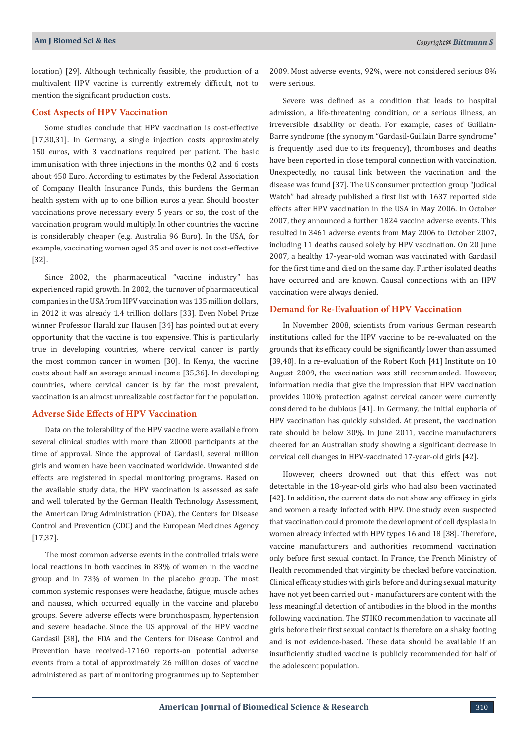location) [29]. Although technically feasible, the production of a multivalent HPV vaccine is currently extremely difficult, not to mention the significant production costs.

# **Cost Aspects of HPV Vaccination**

Some studies conclude that HPV vaccination is cost-effective [17,30,31]. In Germany, a single injection costs approximately 150 euros, with 3 vaccinations required per patient. The basic immunisation with three injections in the months 0,2 and 6 costs about 450 Euro. According to estimates by the Federal Association of Company Health Insurance Funds, this burdens the German health system with up to one billion euros a year. Should booster vaccinations prove necessary every 5 years or so, the cost of the vaccination program would multiply. In other countries the vaccine is considerably cheaper (e.g. Australia 96 Euro). In the USA, for example, vaccinating women aged 35 and over is not cost-effective [32].

Since 2002, the pharmaceutical "vaccine industry" has experienced rapid growth. In 2002, the turnover of pharmaceutical companies in the USA from HPV vaccination was 135 million dollars, in 2012 it was already 1.4 trillion dollars [33]. Even Nobel Prize winner Professor Harald zur Hausen [34] has pointed out at every opportunity that the vaccine is too expensive. This is particularly true in developing countries, where cervical cancer is partly the most common cancer in women [30]. In Kenya, the vaccine costs about half an average annual income [35,36]. In developing countries, where cervical cancer is by far the most prevalent, vaccination is an almost unrealizable cost factor for the population.

# **Adverse Side Effects of HPV Vaccination**

Data on the tolerability of the HPV vaccine were available from several clinical studies with more than 20000 participants at the time of approval. Since the approval of Gardasil, several million girls and women have been vaccinated worldwide. Unwanted side effects are registered in special monitoring programs. Based on the available study data, the HPV vaccination is assessed as safe and well tolerated by the German Health Technology Assessment, the American Drug Administration (FDA), the Centers for Disease Control and Prevention (CDC) and the European Medicines Agency [17,37].

The most common adverse events in the controlled trials were local reactions in both vaccines in 83% of women in the vaccine group and in 73% of women in the placebo group. The most common systemic responses were headache, fatigue, muscle aches and nausea, which occurred equally in the vaccine and placebo groups. Severe adverse effects were bronchospasm, hypertension and severe headache. Since the US approval of the HPV vaccine Gardasil [38], the FDA and the Centers for Disease Control and Prevention have received-17160 reports-on potential adverse events from a total of approximately 26 million doses of vaccine administered as part of monitoring programmes up to September 2009. Most adverse events, 92%, were not considered serious 8% were serious.

Severe was defined as a condition that leads to hospital admission, a life-threatening condition, or a serious illness, an irreversible disability or death. For example, cases of Guillain-Barre syndrome (the synonym "Gardasil-Guillain Barre syndrome" is frequently used due to its frequency), thromboses and deaths have been reported in close temporal connection with vaccination. Unexpectedly, no causal link between the vaccination and the disease was found [37]. The US consumer protection group "Judical Watch" had already published a first list with 1637 reported side effects after HPV vaccination in the USA in May 2006. In October 2007, they announced a further 1824 vaccine adverse events. This resulted in 3461 adverse events from May 2006 to October 2007, including 11 deaths caused solely by HPV vaccination. On 20 June 2007, a healthy 17-year-old woman was vaccinated with Gardasil for the first time and died on the same day. Further isolated deaths have occurred and are known. Causal connections with an HPV vaccination were always denied.

# **Demand for Re-Evaluation of HPV Vaccination**

In November 2008, scientists from various German research institutions called for the HPV vaccine to be re-evaluated on the grounds that its efficacy could be significantly lower than assumed [39,40]. In a re-evaluation of the Robert Koch [41] Institute on 10 August 2009, the vaccination was still recommended. However, information media that give the impression that HPV vaccination provides 100% protection against cervical cancer were currently considered to be dubious [41]. In Germany, the initial euphoria of HPV vaccination has quickly subsided. At present, the vaccination rate should be below 30%. In June 2011, vaccine manufacturers cheered for an Australian study showing a significant decrease in cervical cell changes in HPV-vaccinated 17-year-old girls [42].

However, cheers drowned out that this effect was not detectable in the 18-year-old girls who had also been vaccinated [42]. In addition, the current data do not show any efficacy in girls and women already infected with HPV. One study even suspected that vaccination could promote the development of cell dysplasia in women already infected with HPV types 16 and 18 [38]. Therefore, vaccine manufacturers and authorities recommend vaccination only before first sexual contact. In France, the French Ministry of Health recommended that virginity be checked before vaccination. Clinical efficacy studies with girls before and during sexual maturity have not yet been carried out - manufacturers are content with the less meaningful detection of antibodies in the blood in the months following vaccination. The STIKO recommendation to vaccinate all girls before their first sexual contact is therefore on a shaky footing and is not evidence-based. These data should be available if an insufficiently studied vaccine is publicly recommended for half of the adolescent population.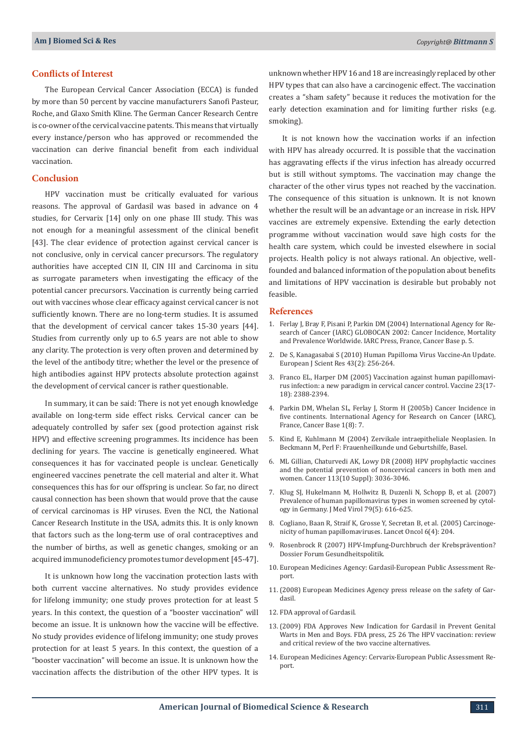## **Conflicts of Interest**

The European Cervical Cancer Association (ECCA) is funded by more than 50 percent by vaccine manufacturers Sanofi Pasteur, Roche, and Glaxo Smith Kline. The German Cancer Research Centre is co-owner of the cervical vaccine patents. This means that virtually every instance/person who has approved or recommended the vaccination can derive financial benefit from each individual vaccination.

#### **Conclusion**

HPV vaccination must be critically evaluated for various reasons. The approval of Gardasil was based in advance on 4 studies, for Cervarix [14] only on one phase III study. This was not enough for a meaningful assessment of the clinical benefit [43]. The clear evidence of protection against cervical cancer is not conclusive, only in cervical cancer precursors. The regulatory authorities have accepted CIN II, CIN III and Carcinoma in situ as surrogate parameters when investigating the efficacy of the potential cancer precursors. Vaccination is currently being carried out with vaccines whose clear efficacy against cervical cancer is not sufficiently known. There are no long-term studies. It is assumed that the development of cervical cancer takes 15-30 years [44]. Studies from currently only up to 6.5 years are not able to show any clarity. The protection is very often proven and determined by the level of the antibody titre; whether the level or the presence of high antibodies against HPV protects absolute protection against the development of cervical cancer is rather questionable.

In summary, it can be said: There is not yet enough knowledge available on long-term side effect risks. Cervical cancer can be adequately controlled by safer sex (good protection against risk HPV) and effective screening programmes. Its incidence has been declining for years. The vaccine is genetically engineered. What consequences it has for vaccinated people is unclear. Genetically engineered vaccines penetrate the cell material and alter it. What consequences this has for our offspring is unclear. So far, no direct causal connection has been shown that would prove that the cause of cervical carcinomas is HP viruses. Even the NCI, the National Cancer Research Institute in the USA, admits this. It is only known that factors such as the long-term use of oral contraceptives and the number of births, as well as genetic changes, smoking or an acquired immunodeficiency promotes tumor development [45-47].

It is unknown how long the vaccination protection lasts with both current vaccine alternatives. No study provides evidence for lifelong immunity; one study proves protection for at least 5 years. In this context, the question of a "booster vaccination" will become an issue. It is unknown how the vaccine will be effective. No study provides evidence of lifelong immunity; one study proves protection for at least 5 years. In this context, the question of a "booster vaccination" will become an issue. It is unknown how the vaccination affects the distribution of the other HPV types. It is

unknown whether HPV 16 and 18 are increasingly replaced by other HPV types that can also have a carcinogenic effect. The vaccination creates a "sham safety" because it reduces the motivation for the early detection examination and for limiting further risks (e.g. smoking).

It is not known how the vaccination works if an infection with HPV has already occurred. It is possible that the vaccination has aggravating effects if the virus infection has already occurred but is still without symptoms. The vaccination may change the character of the other virus types not reached by the vaccination. The consequence of this situation is unknown. It is not known whether the result will be an advantage or an increase in risk. HPV vaccines are extremely expensive. Extending the early detection programme without vaccination would save high costs for the health care system, which could be invested elsewhere in social projects. Health policy is not always rational. An objective, wellfounded and balanced information of the population about benefits and limitations of HPV vaccination is desirable but probably not feasible.

#### **References**

- 1. Ferlay J, Bray F, Pisani P, Parkin DM (2004) International Agency for Research of Cancer (IARC) GLOBOCAN 2002: Cancer Incidence, Mortality and Prevalence Worldwide. IARC Press, France, Cancer Base p. 5.
- 2. De S, Kanagasabai S (2010) Human Papilloma Virus Vaccine-An Update. European J Scient Res 43(2): 256-264.
- 3. [Franco EL, Harper DM \(2005\) Vaccination against human papillomavi](https://www.ncbi.nlm.nih.gov/pubmed/15755633)[rus infection: a new paradigm in cervical cancer control. Vaccine 23\(17-](https://www.ncbi.nlm.nih.gov/pubmed/15755633) [18\): 2388-2394.](https://www.ncbi.nlm.nih.gov/pubmed/15755633)
- 4. Parkin DM, Whelan SL, Ferlay J, Storm H (2005b) Cancer Incidence in five continents. International Agency for Research on Cancer (IARC), France, Cancer Base 1(8): 7.
- 5. Kind E, Kuhlmann M (2004) Zervikale intraepitheliale Neoplasien. In Beckmann M, Perl F: Frauenheilkunde und Geburtshilfe, Basel.
- 6. [ML Gillian, Chaturvedi AK, Lowy DR \(2008\) HPV prophylactic vaccines](https://www.ncbi.nlm.nih.gov/pubmed/18980286) [and the potential prevention of noncervical cancers in both men and](https://www.ncbi.nlm.nih.gov/pubmed/18980286) [women. Cancer 113\(10 Suppl\): 3036-3046.](https://www.ncbi.nlm.nih.gov/pubmed/18980286)
- 7. [Klug SJ, Hukelmann M, Hollwitz B, Duzenli N, Schopp B, et al. \(2007\)](https://www.ncbi.nlm.nih.gov/pubmed/17385693) [Prevalence of human papillomavirus types in women screened by cytol](https://www.ncbi.nlm.nih.gov/pubmed/17385693)[ogy in Germany. J Med Virol 79\(5\): 616-625.](https://www.ncbi.nlm.nih.gov/pubmed/17385693)
- 8. [Cogliano, Baan R, Straif K, Grosse Y, Secretan B, et al. \(2005\) Carcinoge](https://www.ncbi.nlm.nih.gov/pubmed/15830458)[nicity of human papillomaviruses. Lancet Oncol 6\(4\): 204.](https://www.ncbi.nlm.nih.gov/pubmed/15830458)
- 9. [Rosenbrock R \(2007\) HPV-Impfung-Durchbruch der Krebsprävention?](http://www.forum-gesundheitspolitik.de/dossier/PDF/Rosenbrock-HPV-Impfung.pdf) [Dossier Forum Gesundheitspolitik.](http://www.forum-gesundheitspolitik.de/dossier/PDF/Rosenbrock-HPV-Impfung.pdf)
- 10. European Medicines Agency: Gardasil-European Public Assessment Report.
- 11.(2008) European Medicines Agency press release on the safety of Gardasil.
- 12. FDA approval of Gardasil.
- 13.(2009) FDA Approves New Indication for Gardasil in Prevent Genital Warts in Men and Boys. FDA press, 25 26 The HPV vaccination: review and critical review of the two vaccine alternatives.
- 14. European Medicines Agency: Cervarix-European Public Assessment Report.